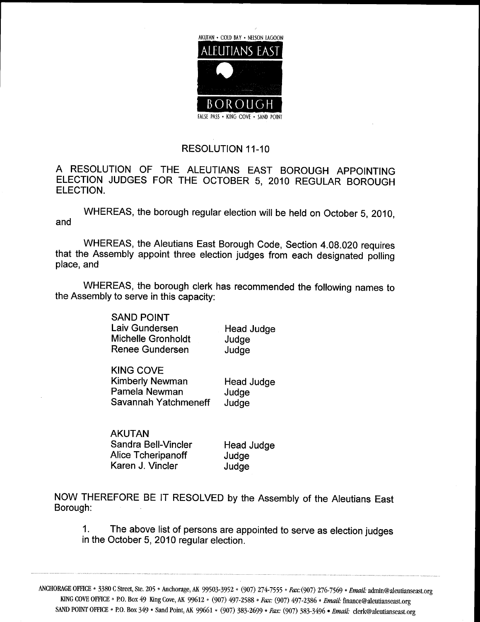

**RESOLUTION 11-10** 

A RESOLUTION OF THE ALEUTIANS EAST BOROUGH APPOINTING ELECTION JUDGES FOR THE OCTOBER 5, 2010 REGULAR BOROUGH ELECTION

WHEREAS, the borough regular election will be held on October 5, 2010, and

WHEREAS, the Aleutians East Borough Code, Section 4.08.020 requires that the Assembly appoint three election judges from each designated polling place, and

WHEREAS, the borough clerk has recommended the following names to the Assembly to serve in this capacity

> SAND POINT Laiv Gundersen Flead Judge<br>Michelle Gronholdt Fludge Michelle Gronholdt budge<br>
> Renee Gundersen budge Renee Gundersen

KING COVE Kimberly Newman Head Judge<br>Pamela Newman Judge Pamela Newman Judge<br>Savannah Yatchmeneff Judge Savannah Yatchmeneff

AKUTAN Sandra Bell-Vincler Fread Judge<br>Alice Tcheripanoff Judge Alice Tcheripanoff Judge<br>
Karen J. Vincler Judge Karen J. Vincler

NOW THEREFORE BE IT RESOLVED by the Assembly of the Aleutians East Borough

1. The above list of persons are appointed to serve as election judges in the October 5, 2010 regular election.

ANCHORAGE OFFICE • 3380 C Street, Ste. 205 • Anchorage, AK 99503-3952 • (907) 274-7555 • Fax: (907) 276-7569 • Email: KING COVE OFFICE . BOBOX 49 King Cove, AK 99612 \* (907) 497-2588 \* Fax: (907) 497-2386 \* Email: admin@aleutianseast org SAND POINT OFFICE • P.O. Box 349 • Sand Point, AK 99661 • (907) 383-2699 • Fax: (907) 383-3496 • Email: clerk@aleutianseast.org \* Finance Calendian School<br>Finance Calendianseast.org<br>Finance Calendianseast.org<br>Fig. clerk Calendianseast.o te. 205 • Anchorage, AK 99503-3952 • (907) 274-7555 • Fax: (907) 276-7569 • *Email*: admin@aleutianse<br>49 King Cove, AK 99612 • (907) 497-2588 • Fax: (907) 497-2386 • *Email:* finance@aleutianseast.org<br>349 • Sand Point, AK